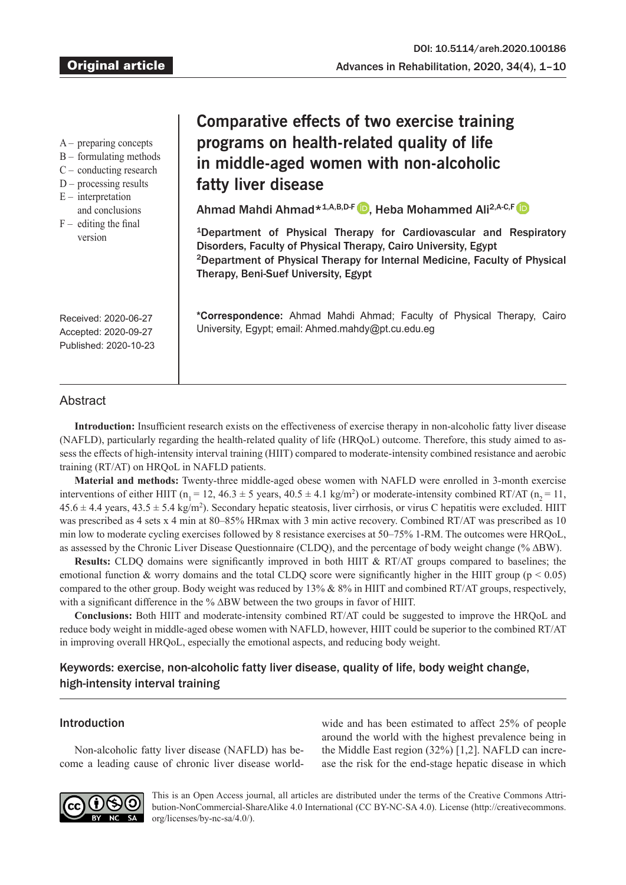- A preparing concepts
- B formulating methods
- C conducting research
- D processing results
- $E$  interpretation
- and conclusions
- $F -$  editing the final version

# **Comparative effects of two exercise training programs on health-related quality of life in middle-aged women with non-alcoholic fatty liver disease**

Ahmad Mahdi Ahmad\*<sup>1,A,B,D-F D</sup>, Heba Mohammed Ali<sup>2,A-C,F</sup> D

1Department of Physical Therapy for Cardiovascular and Respiratory Disorders, Faculty of Physical Therapy, Cairo University, Egypt 2Department of Physical Therapy for Internal Medicine, Faculty of Physical Therapy, Beni-Suef University, Egypt

**\*Correspondence:** Ahmad Mahdi Ahmad; Faculty of Physical Therapy, Cairo University, Egypt; email: Ahmed.mahdy@pt.cu.edu.eg

Received: 2020-06-27 Accepted: 2020-09-27 Published: 2020-10-23

# **Abstract**

**Introduction:** Insufficient research exists on the effectiveness of exercise therapy in non-alcoholic fatty liver disease (NAFLD), particularly regarding the health-related quality of life (HRQoL) outcome. Therefore, this study aimed to assess the effects of high-intensity interval training (HIIT) compared to moderate-intensity combined resistance and aerobic training (RT/AT) on HRQoL in NAFLD patients.

**Material and methods:** Twenty-three middle-aged obese women with NAFLD were enrolled in 3-month exercise interventions of either HIIT ( $n_1 = 12$ , 46.3  $\pm$  5 years, 40.5  $\pm$  4.1 kg/m<sup>2</sup>) or moderate-intensity combined RT/AT ( $n_2 = 11$ ,  $45.6 \pm 4.4$  years,  $43.5 \pm 5.4$  kg/m<sup>2</sup>). Secondary hepatic steatosis, liver cirrhosis, or virus C hepatitis were excluded. HIIT was prescribed as 4 sets x 4 min at 80–85% HRmax with 3 min active recovery. Combined RT/AT was prescribed as 10 min low to moderate cycling exercises followed by 8 resistance exercises at 50–75% 1-RM. The outcomes were HRQoL, as assessed by the Chronic Liver Disease Questionnaire (CLDQ), and the percentage of body weight change (% ∆BW).

**Results:** CLDQ domains were significantly improved in both HIIT & RT/AT groups compared to baselines; the emotional function & worry domains and the total CLDQ score were significantly higher in the HIIT group ( $p < 0.05$ ) compared to the other group. Body weight was reduced by 13% & 8% in HIIT and combined RT/AT groups, respectively, with a significant difference in the % ∆BW between the two groups in favor of HIIT.

**Conclusions:** Both HIIT and moderate-intensity combined RT/AT could be suggested to improve the HRQoL and reduce body weight in middle-aged obese women with NAFLD, however, HIIT could be superior to the combined RT/AT in improving overall HRQoL, especially the emotional aspects, and reducing body weight.

# Keywords: exercise, non-alcoholic fatty liver disease, quality of life, body weight change, high-intensity interval training

## Introduction

Non-alcoholic fatty liver disease (NAFLD) has become a leading cause of chronic liver disease worldwide and has been estimated to affect 25% of people around the world with the highest prevalence being in the Middle East region (32%) [1,2]. NAFLD can increase the risk for the end-stage hepatic disease in which



This is an Open Access journal, all articles are distributed under the terms of the Creative Commons Attribution-NonCommercial-ShareAlike 4.0 International (CC BY-NC-SA 4.0). License (http://creativecommons. org/licenses/by-nc-sa/4.0/).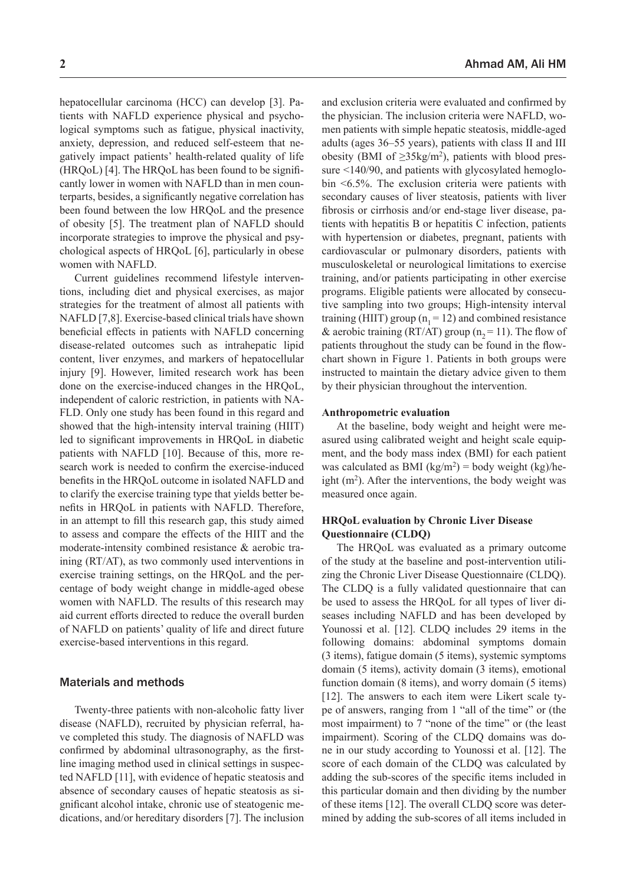hepatocellular carcinoma (HCC) can develop [3]. Patients with NAFLD experience physical and psychological symptoms such as fatigue, physical inactivity, anxiety, depression, and reduced self-esteem that negatively impact patients' health-related quality of life (HRQoL) [4]. The HRQoL has been found to be significantly lower in women with NAFLD than in men counterparts, besides, a significantly negative correlation has been found between the low HRQoL and the presence of obesity [5]. The treatment plan of NAFLD should incorporate strategies to improve the physical and psychological aspects of HRQoL [6], particularly in obese women with NAFLD.

Current guidelines recommend lifestyle interventions, including diet and physical exercises, as major strategies for the treatment of almost all patients with NAFLD [7,8]. Exercise-based clinical trials have shown beneficial effects in patients with NAFLD concerning disease-related outcomes such as intrahepatic lipid content, liver enzymes, and markers of hepatocellular injury [9]. However, limited research work has been done on the exercise-induced changes in the HRQoL, independent of caloric restriction, in patients with NA-FLD. Only one study has been found in this regard and showed that the high-intensity interval training (HIIT) led to significant improvements in HRQoL in diabetic patients with NAFLD [10]. Because of this, more research work is needed to confirm the exercise-induced benefits in the HRQoL outcome in isolated NAFLD and to clarify the exercise training type that yields better benefits in HRQoL in patients with NAFLD. Therefore, in an attempt to fill this research gap, this study aimed to assess and compare the effects of the HIIT and the moderate-intensity combined resistance & aerobic training (RT/AT), as two commonly used interventions in exercise training settings, on the HRQoL and the percentage of body weight change in middle-aged obese women with NAFLD. The results of this research may aid current efforts directed to reduce the overall burden of NAFLD on patients' quality of life and direct future exercise-based interventions in this regard.

## Materials and methods

Twenty-three patients with non-alcoholic fatty liver disease (NAFLD), recruited by physician referral, have completed this study. The diagnosis of NAFLD was confirmed by abdominal ultrasonography, as the firstline imaging method used in clinical settings in suspected NAFLD [11], with evidence of hepatic steatosis and absence of secondary causes of hepatic steatosis as significant alcohol intake, chronic use of steatogenic medications, and/or hereditary disorders [7]. The inclusion and exclusion criteria were evaluated and confirmed by the physician. The inclusion criteria were NAFLD, women patients with simple hepatic steatosis, middle-aged adults (ages 36–55 years), patients with class II and III obesity (BMI of  $\geq$ 35kg/m<sup>2</sup>), patients with blood pressure <140/90, and patients with glycosylated hemoglobin <6.5%. The exclusion criteria were patients with secondary causes of liver steatosis, patients with liver fibrosis or cirrhosis and/or end-stage liver disease, patients with hepatitis B or hepatitis C infection, patients with hypertension or diabetes, pregnant, patients with cardiovascular or pulmonary disorders, patients with musculoskeletal or neurological limitations to exercise training, and/or patients participating in other exercise programs. Eligible patients were allocated by consecutive sampling into two groups; High-intensity interval training (HIIT) group ( $n_1 = 12$ ) and combined resistance & aerobic training (RT/AT) group ( $n<sub>2</sub> = 11$ ). The flow of patients throughout the study can be found in the flowchart shown in Figure 1. Patients in both groups were instructed to maintain the dietary advice given to them by their physician throughout the intervention.

#### **Anthropometric evaluation**

At the baseline, body weight and height were measured using calibrated weight and height scale equipment, and the body mass index (BMI) for each patient was calculated as BMI (kg/m<sup>2</sup>) = body weight (kg)/height  $(m<sup>2</sup>)$ . After the interventions, the body weight was measured once again.

## **HRQoL evaluation by Chronic Liver Disease Questionnaire (CLDQ)**

The HRQoL was evaluated as a primary outcome of the study at the baseline and post-intervention utilizing the Chronic Liver Disease Questionnaire (CLDQ). The CLDQ is a fully validated questionnaire that can be used to assess the HRQoL for all types of liver diseases including NAFLD and has been developed by Younossi et al. [12]. CLDQ includes 29 items in the following domains: abdominal symptoms domain (3 items), fatigue domain (5 items), systemic symptoms domain (5 items), activity domain (3 items), emotional function domain (8 items), and worry domain (5 items) [12]. The answers to each item were Likert scale type of answers, ranging from 1 "all of the time" or (the most impairment) to 7 "none of the time" or (the least impairment). Scoring of the CLDQ domains was done in our study according to Younossi et al. [12]. The score of each domain of the CLDQ was calculated by adding the sub-scores of the specific items included in this particular domain and then dividing by the number of these items [12]. The overall CLDQ score was determined by adding the sub-scores of all items included in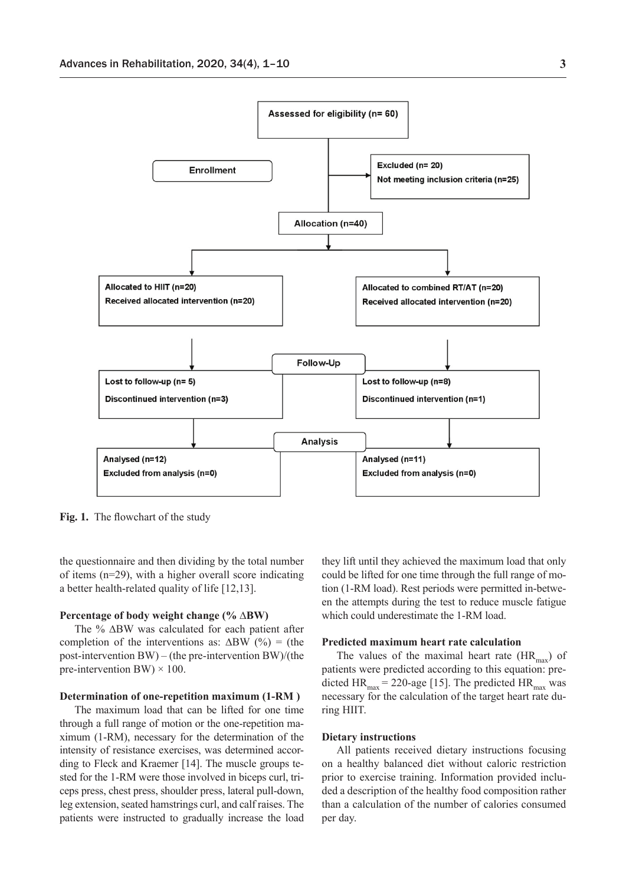

**Fig. 1.** The flowchart of the study

the questionnaire and then dividing by the total number of items (n=29), with a higher overall score indicating a better health-related quality of life [12,13].

#### **Percentage of body weight change (% ∆BW)**

The % ∆BW was calculated for each patient after completion of the interventions as:  $\Delta BW$  (%) = (the post-intervention BW) – (the pre-intervention BW)/(the pre-intervention BW)  $\times$  100.

## **Determination of one-repetition maximum (1-RM )**

The maximum load that can be lifted for one time through a full range of motion or the one-repetition maximum (1-RM), necessary for the determination of the intensity of resistance exercises, was determined according to Fleck and Kraemer [14]. The muscle groups tested for the 1-RM were those involved in biceps curl, triceps press, chest press, shoulder press, lateral pull-down, leg extension, seated hamstrings curl, and calf raises. The patients were instructed to gradually increase the load they lift until they achieved the maximum load that only could be lifted for one time through the full range of motion (1-RM load). Rest periods were permitted in-between the attempts during the test to reduce muscle fatigue which could underestimate the 1-RM load.

#### **Predicted maximum heart rate calculation**

The values of the maximal heart rate  $(HR_{\text{max}})$  of patients were predicted according to this equation: predicted  $HR_{max} = 220$ -age [15]. The predicted  $HR_{max}$  was necessary for the calculation of the target heart rate during HIIT.

#### **Dietary instructions**

All patients received dietary instructions focusing on a healthy balanced diet without caloric restriction prior to exercise training. Information provided included a description of the healthy food composition rather than a calculation of the number of calories consumed per day.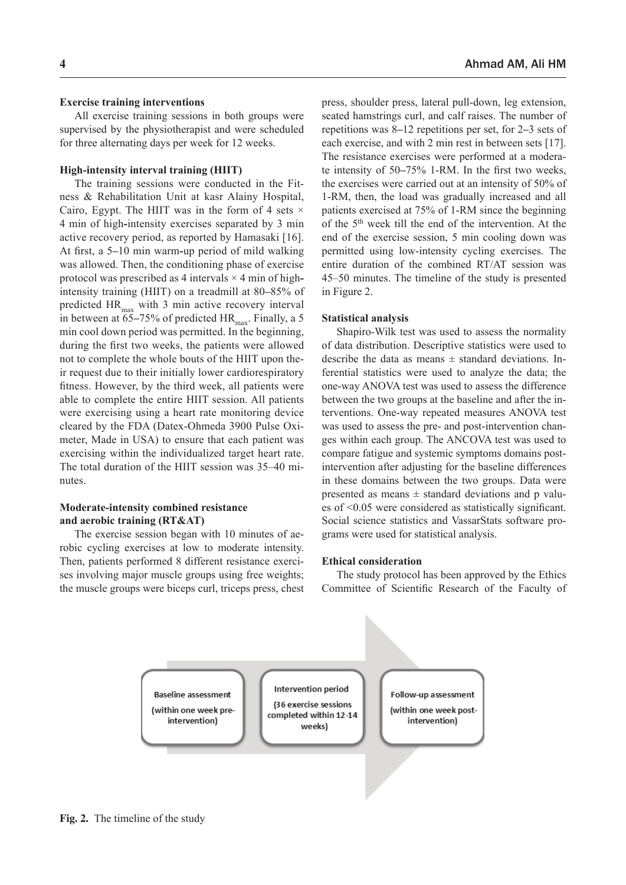#### **Exercise training interventions**

All exercise training sessions in both groups were supervised by the physiotherapist and were scheduled for three alternating days per week for 12 weeks.

#### **High-intensity interval training (HIIT)**

The training sessions were conducted in the Fitness & Rehabilitation Unit at kasr Alainy Hospital, Cairo, Egypt. The HIIT was in the form of 4 sets  $\times$ 4 min of high**-**intensity exercises separated by 3 min active recovery period, as reported by Hamasaki [16]. At first, a 5**–**10 min warm**-**up period of mild walking was allowed. Then, the conditioning phase of exercise protocol was prescribed as 4 intervals × 4 min of highintensity training (HIIT) on a treadmill at 80**–**85% of predicted  $HR_{max}$  with 3 min active recovery interval in between at 65–75% of predicted HR<sub>max</sub>. Finally, a 5 min cool down period was permitted. In the beginning, during the first two weeks, the patients were allowed not to complete the whole bouts of the HIIT upon their request due to their initially lower cardiorespiratory fitness. However, by the third week, all patients were able to complete the entire HIIT session. All patients were exercising using a heart rate monitoring device cleared by the FDA (Datex-Ohmeda 3900 Pulse Oximeter, Made in USA) to ensure that each patient was exercising within the individualized target heart rate. The total duration of the HIIT session was 35–40 minutes.

## **Moderate-intensity combined resistance and aerobic training (RT&AT)**

The exercise session began with 10 minutes of aerobic cycling exercises at low to moderate intensity. Then, patients performed 8 different resistance exercises involving major muscle groups using free weights; the muscle groups were biceps curl, triceps press, chest press, shoulder press, lateral pull-down, leg extension, seated hamstrings curl, and calf raises. The number of repetitions was 8**–**12 repetitions per set, for 2**–**3 sets of each exercise, and with 2 min rest in between sets [17]. The resistance exercises were performed at a moderate intensity of 50**–**75% 1-RM. In the first two weeks, the exercises were carried out at an intensity of 50% of 1-RM, then, the load was gradually increased and all patients exercised at 75% of 1-RM since the beginning of the 5th week till the end of the intervention. At the end of the exercise session, 5 min cooling down was permitted using low-intensity cycling exercises. The entire duration of the combined RT/AT session was 45–50 minutes. The timeline of the study is presented in Figure 2.

## **Statistical analysis**

Shapiro-Wilk test was used to assess the normality of data distribution. Descriptive statistics were used to describe the data as means  $\pm$  standard deviations. Inferential statistics were used to analyze the data; the one-way ANOVA test was used to assess the difference between the two groups at the baseline and after the interventions. One-way repeated measures ANOVA test was used to assess the pre- and post-intervention changes within each group. The ANCOVA test was used to compare fatigue and systemic symptoms domains postintervention after adjusting for the baseline differences in these domains between the two groups. Data were presented as means  $\pm$  standard deviations and p values of <0.05 were considered as statistically significant. Social science statistics and VassarStats software programs were used for statistical analysis.

#### **Ethical consideration**

The study protocol has been approved by the Ethics Committee of Scientific Research of the Faculty of

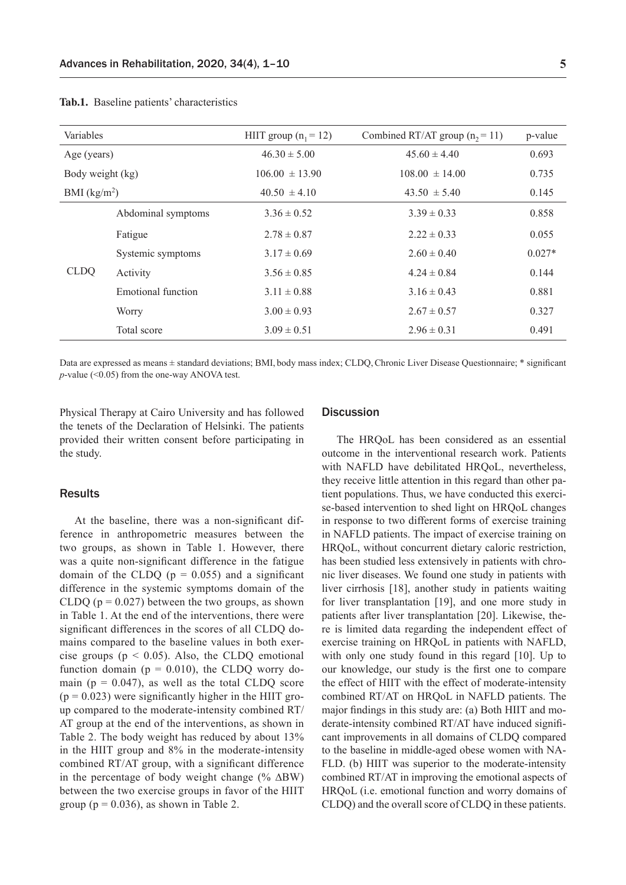| Variables        |                    | HIIT group $(n_1 = 12)$ | Combined RT/AT group $(n, = 11)$ | p-value  |
|------------------|--------------------|-------------------------|----------------------------------|----------|
| Age (years)      |                    | $46.30 \pm 5.00$        | $45.60 \pm 4.40$                 | 0.693    |
| Body weight (kg) |                    | $106.00 \pm 13.90$      | $108.00 \pm 14.00$               | 0.735    |
| BMI $(kg/m2)$    |                    | $40.50 \pm 4.10$        | $43.50 \pm 5.40$                 | 0.145    |
| <b>CLDO</b>      | Abdominal symptoms | $3.36 \pm 0.52$         | $3.39 \pm 0.33$                  | 0.858    |
|                  | Fatigue            | $2.78 \pm 0.87$         | $2.22 \pm 0.33$                  | 0.055    |
|                  | Systemic symptoms  | $3.17 \pm 0.69$         | $2.60 \pm 0.40$                  | $0.027*$ |
|                  | Activity           | $3.56 \pm 0.85$         | $4.24 \pm 0.84$                  | 0.144    |
|                  | Emotional function | $3.11 \pm 0.88$         | $3.16 \pm 0.43$                  | 0.881    |
|                  | Worry              | $3.00 \pm 0.93$         | $2.67 \pm 0.57$                  | 0.327    |
|                  | Total score        | $3.09 \pm 0.51$         | $2.96 \pm 0.31$                  | 0.491    |

**Tab.1.** Baseline patients' characteristics

Data are expressed as means ± standard deviations; BMI, body mass index; CLDQ,Chronic Liver Disease Questionnaire; \* significant *p*-value (<0.05) from the one-way ANOVA test.

Physical Therapy at Cairo University and has followed the tenets of the Declaration of Helsinki. The patients provided their written consent before participating in the study.

### Results

At the baseline, there was a non-significant difference in anthropometric measures between the two groups, as shown in Table 1. However, there was a quite non-significant difference in the fatigue domain of the CLDQ  $(p = 0.055)$  and a significant difference in the systemic symptoms domain of the CLDQ ( $p = 0.027$ ) between the two groups, as shown in Table 1. At the end of the interventions, there were significant differences in the scores of all CLDQ domains compared to the baseline values in both exercise groups ( $p < 0.05$ ). Also, the CLDQ emotional function domain ( $p = 0.010$ ), the CLDQ worry domain ( $p = 0.047$ ), as well as the total CLDQ score  $(p = 0.023)$  were significantly higher in the HIIT group compared to the moderate-intensity combined RT/ AT group at the end of the interventions, as shown in Table 2. The body weight has reduced by about 13% in the HIIT group and 8% in the moderate-intensity combined RT/AT group, with a significant difference in the percentage of body weight change (% ∆BW) between the two exercise groups in favor of the HIIT group ( $p = 0.036$ ), as shown in Table 2.

## **Discussion**

The HRQoL has been considered as an essential outcome in the interventional research work. Patients with NAFLD have debilitated HRQoL, nevertheless, they receive little attention in this regard than other patient populations. Thus, we have conducted this exercise-based intervention to shed light on HRQoL changes in response to two different forms of exercise training in NAFLD patients. The impact of exercise training on HRQoL, without concurrent dietary caloric restriction, has been studied less extensively in patients with chronic liver diseases. We found one study in patients with liver cirrhosis [18], another study in patients waiting for liver transplantation [19], and one more study in patients after liver transplantation [20]. Likewise, there is limited data regarding the independent effect of exercise training on HRQoL in patients with NAFLD, with only one study found in this regard [10]. Up to our knowledge, our study is the first one to compare the effect of HIIT with the effect of moderate-intensity combined RT/AT on HRQoL in NAFLD patients. The major findings in this study are: (a) Both HIIT and moderate-intensity combined RT/AT have induced significant improvements in all domains of CLDQ compared to the baseline in middle-aged obese women with NA-FLD. (b) HIIT was superior to the moderate-intensity combined RT/AT in improving the emotional aspects of HRQoL (i.e. emotional function and worry domains of CLDQ) and the overall score of CLDQ in these patients.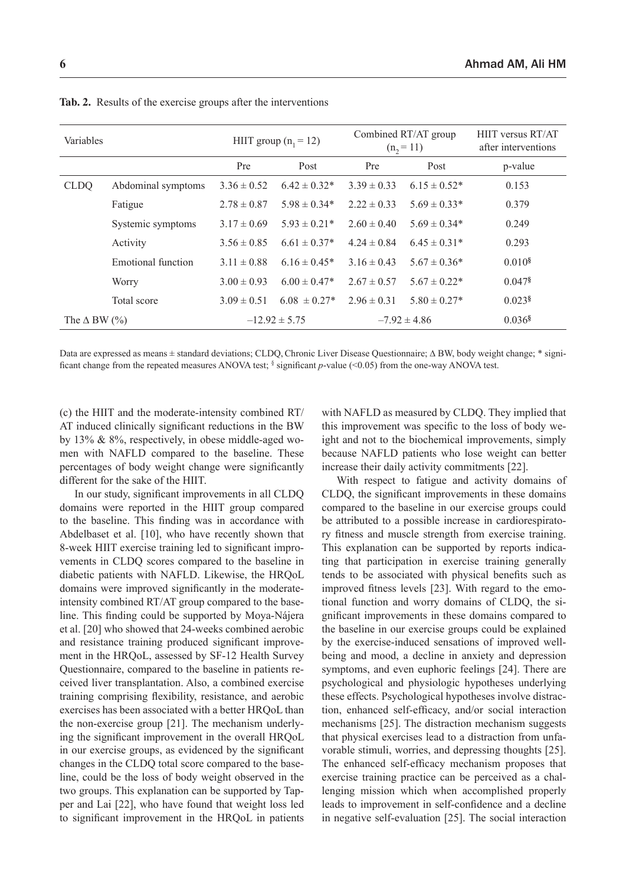| Variables                  |                    | HIIT group $(n_1 = 12)$ |                   | Combined RT/AT group<br>$(n, = 11)$ |                   | HIIT versus RT/AT<br>after interventions |
|----------------------------|--------------------|-------------------------|-------------------|-------------------------------------|-------------------|------------------------------------------|
|                            |                    | Pre                     | Post              | Pre                                 | Post              | p-value                                  |
| <b>CLDQ</b>                | Abdominal symptoms | $3.36 \pm 0.52$         | $6.42 \pm 0.32^*$ | $3.39 \pm 0.33$                     | $6.15 \pm 0.52^*$ | 0.153                                    |
|                            | Fatigue            | $2.78 \pm 0.87$         | $5.98 \pm 0.34*$  | $2.22 \pm 0.33$                     | $5.69 \pm 0.33*$  | 0.379                                    |
|                            | Systemic symptoms  | $3.17 \pm 0.69$         | $5.93 \pm 0.21*$  | $2.60 \pm 0.40$                     | $5.69 \pm 0.34*$  | 0.249                                    |
|                            | Activity           | $3.56 \pm 0.85$         | $6.61 \pm 0.37*$  | $4.24 \pm 0.84$                     | $6.45 \pm 0.31*$  | 0.293                                    |
|                            | Emotional function | $3.11 \pm 0.88$         | $6.16 \pm 0.45*$  | $3.16 \pm 0.43$                     | $5.67 \pm 0.36*$  | 0.010 <sup>8</sup>                       |
|                            | Worry              | $3.00 \pm 0.93$         | $6.00 \pm 0.47*$  | $2.67 \pm 0.57$                     | $5.67 \pm 0.22*$  | $0.047$ <sup>§</sup>                     |
|                            | Total score        | $3.09 \pm 0.51$         | $6.08 \pm 0.27$ * | $2.96 \pm 0.31$                     | $5.80 \pm 0.27*$  | $0.023$ <sup>§</sup>                     |
| The $\triangle$ BW $(\%$ ) |                    |                         | $-12.92 \pm 5.75$ |                                     | $-7.92 \pm 4.86$  | $0.036$ <sup>§</sup>                     |

**Tab. 2.** Results of the exercise groups after the interventions

Data are expressed as means ± standard deviations; CLDQ,Chronic Liver Disease Questionnaire; **∆** BW, body weight change; \* significant change from the repeated measures ANOVA test; § significant *p*-value (<0.05) from the one-way ANOVA test.

(c) the HIIT and the moderate-intensity combined RT/ AT induced clinically significant reductions in the BW by 13% & 8%, respectively, in obese middle-aged women with NAFLD compared to the baseline. These percentages of body weight change were significantly different for the sake of the HIIT.

In our study, significant improvements in all CLDQ domains were reported in the HIIT group compared to the baseline. This finding was in accordance with Abdelbaset et al. [10], who have recently shown that 8-week HIIT exercise training led to significant improvements in CLDQ scores compared to the baseline in diabetic patients with NAFLD. Likewise, the HRQoL domains were improved significantly in the moderateintensity combined RT/AT group compared to the baseline. This finding could be supported by Moya-Nájera et al. [20] who showed that 24-weeks combined aerobic and resistance training produced significant improvement in the HRQoL, assessed by SF-12 Health Survey Questionnaire, compared to the baseline in patients received liver transplantation. Also, a combined exercise training comprising flexibility, resistance, and aerobic exercises has been associated with a better HRQoL than the non-exercise group [21]. The mechanism underlying the significant improvement in the overall HRQoL in our exercise groups, as evidenced by the significant changes in the CLDQ total score compared to the baseline, could be the loss of body weight observed in the two groups. This explanation can be supported by Tapper and Lai [22], who have found that weight loss led to significant improvement in the HRQoL in patients with NAFLD as measured by CLDQ. They implied that this improvement was specific to the loss of body weight and not to the biochemical improvements, simply because NAFLD patients who lose weight can better increase their daily activity commitments [22].

With respect to fatigue and activity domains of CLDQ, the significant improvements in these domains compared to the baseline in our exercise groups could be attributed to a possible increase in cardiorespiratory fitness and muscle strength from exercise training. This explanation can be supported by reports indicating that participation in exercise training generally tends to be associated with physical benefits such as improved fitness levels [23]. With regard to the emotional function and worry domains of CLDQ, the significant improvements in these domains compared to the baseline in our exercise groups could be explained by the exercise-induced sensations of improved wellbeing and mood, a decline in anxiety and depression symptoms, and even euphoric feelings [24]. There are psychological and physiologic hypotheses underlying these effects. Psychological hypotheses involve distraction, enhanced self-efficacy, and/or social interaction mechanisms [25]. The distraction mechanism suggests that physical exercises lead to a distraction from unfavorable stimuli, worries, and depressing thoughts [25]. The enhanced self-efficacy mechanism proposes that exercise training practice can be perceived as a challenging mission which when accomplished properly leads to improvement in self-confidence and a decline in negative self-evaluation [25]. The social interaction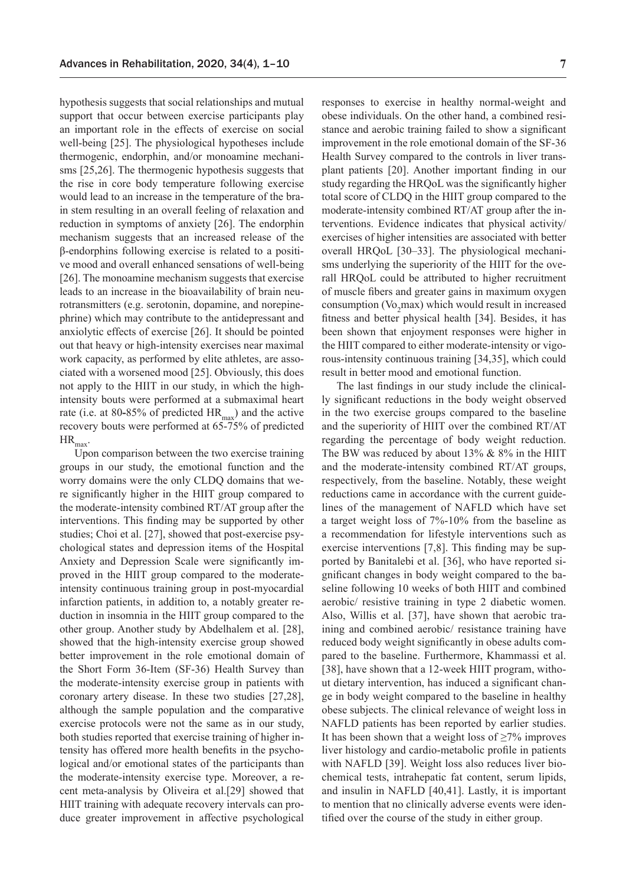hypothesis suggests that social relationships and mutual support that occur between exercise participants play an important role in the effects of exercise on social well-being [25]. The physiological hypotheses include thermogenic, endorphin, and/or monoamine mechanisms [25,26]. The thermogenic hypothesis suggests that the rise in core body temperature following exercise would lead to an increase in the temperature of the brain stem resulting in an overall feeling of relaxation and reduction in symptoms of anxiety [26]. The endorphin mechanism suggests that an increased release of the β-endorphins following exercise is related to a positive mood and overall enhanced sensations of well-being [26]. The monoamine mechanism suggests that exercise leads to an increase in the bioavailability of brain neurotransmitters (e.g. serotonin, dopamine, and norepinephrine) which may contribute to the antidepressant and anxiolytic effects of exercise [26]. It should be pointed out that heavy or high-intensity exercises near maximal work capacity, as performed by elite athletes, are associated with a worsened mood [25]. Obviously, this does not apply to the HIIT in our study, in which the highintensity bouts were performed at a submaximal heart rate (i.e. at 80-85% of predicted HR<sub>max</sub>) and the active recovery bouts were performed at 65-75% of predicted  $HR_{max}$ .

Upon comparison between the two exercise training groups in our study, the emotional function and the worry domains were the only CLDQ domains that were significantly higher in the HIIT group compared to the moderate-intensity combined RT/AT group after the interventions. This finding may be supported by other studies; Choi et al. [27], showed that post-exercise psychological states and depression items of the Hospital Anxiety and Depression Scale were significantly improved in the HIIT group compared to the moderateintensity continuous training group in post-myocardial infarction patients, in addition to, a notably greater reduction in insomnia in the HIIT group compared to the other group. Another study by Abdelhalem et al. [28], showed that the high-intensity exercise group showed better improvement in the role emotional domain of the Short Form 36-Item (SF-36) Health Survey than the moderate-intensity exercise group in patients with coronary artery disease. In these two studies [27,28], although the sample population and the comparative exercise protocols were not the same as in our study, both studies reported that exercise training of higher intensity has offered more health benefits in the psychological and/or emotional states of the participants than the moderate-intensity exercise type. Moreover, a recent meta-analysis by Oliveira et al.[29] showed that HIIT training with adequate recovery intervals can produce greater improvement in affective psychological responses to exercise in healthy normal-weight and obese individuals. On the other hand, a combined resistance and aerobic training failed to show a significant improvement in the role emotional domain of the SF-36 Health Survey compared to the controls in liver transplant patients [20]. Another important finding in our study regarding the HRQoL was the significantly higher total score of CLDQ in the HIIT group compared to the moderate-intensity combined RT/AT group after the interventions. Evidence indicates that physical activity/ exercises of higher intensities are associated with better overall HRQoL [30–33]. The physiological mechanisms underlying the superiority of the HIIT for the overall HRQoL could be attributed to higher recruitment of muscle fibers and greater gains in maximum oxygen consumption  $(V_0, max)$  which would result in increased fitness and better physical health [34]. Besides, it has been shown that enjoyment responses were higher in the HIIT compared to either moderate-intensity or vigorous-intensity continuous training [34,35], which could result in better mood and emotional function.

The last findings in our study include the clinically significant reductions in the body weight observed in the two exercise groups compared to the baseline and the superiority of HIIT over the combined RT/AT regarding the percentage of body weight reduction. The BW was reduced by about  $13\% \& 8\%$  in the HIIT and the moderate-intensity combined RT/AT groups, respectively, from the baseline. Notably, these weight reductions came in accordance with the current guidelines of the management of NAFLD which have set a target weight loss of 7%-10% from the baseline as a recommendation for lifestyle interventions such as exercise interventions [7,8]. This finding may be supported by Banitalebi et al. [36], who have reported significant changes in body weight compared to the baseline following 10 weeks of both HIIT and combined aerobic/ resistive training in type 2 diabetic women. Also, Willis et al. [37], have shown that aerobic training and combined aerobic/ resistance training have reduced body weight significantly in obese adults compared to the baseline. Furthermore, Khammassi et al. [38], have shown that a 12-week HIIT program, without dietary intervention, has induced a significant change in body weight compared to the baseline in healthy obese subjects. The clinical relevance of weight loss in NAFLD patients has been reported by earlier studies. It has been shown that a weight loss of  $\geq$ 7% improves liver histology and cardio-metabolic profile in patients with NAFLD [39]. Weight loss also reduces liver biochemical tests, intrahepatic fat content, serum lipids, and insulin in NAFLD [40,41]. Lastly, it is important to mention that no clinically adverse events were identified over the course of the study in either group.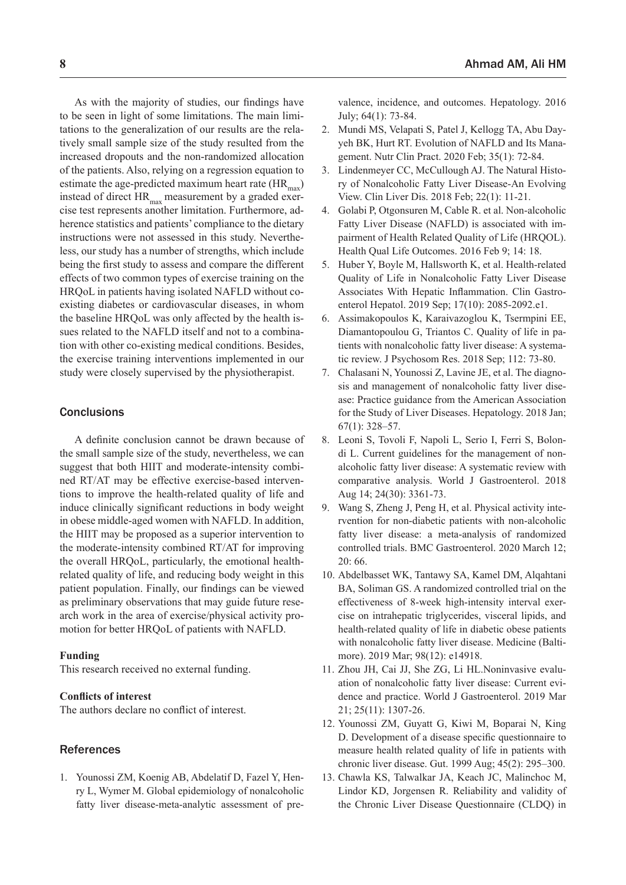As with the majority of studies, our findings have to be seen in light of some limitations. The main limitations to the generalization of our results are the relatively small sample size of the study resulted from the increased dropouts and the non-randomized allocation of the patients. Also, relying on a regression equation to estimate the age-predicted maximum heart rate  $(HR<sub>max</sub>)$ instead of direct  $HR_{max}$  measurement by a graded exercise test represents another limitation. Furthermore, adherence statistics and patients' compliance to the dietary instructions were not assessed in this study. Nevertheless, our study has a number of strengths, which include being the first study to assess and compare the different effects of two common types of exercise training on the HRQoL in patients having isolated NAFLD without coexisting diabetes or cardiovascular diseases, in whom the baseline HRQoL was only affected by the health issues related to the NAFLD itself and not to a combination with other co-existing medical conditions. Besides, the exercise training interventions implemented in our study were closely supervised by the physiotherapist.

## **Conclusions**

A definite conclusion cannot be drawn because of the small sample size of the study, nevertheless, we can suggest that both HIIT and moderate-intensity combined RT/AT may be effective exercise-based interventions to improve the health-related quality of life and induce clinically significant reductions in body weight in obese middle-aged women with NAFLD. In addition, the HIIT may be proposed as a superior intervention to the moderate-intensity combined RT/AT for improving the overall HRQoL, particularly, the emotional healthrelated quality of life, and reducing body weight in this patient population. Finally, our findings can be viewed as preliminary observations that may guide future research work in the area of exercise/physical activity promotion for better HRQoL of patients with NAFLD.

#### **Funding**

This research received no external funding.

## **Conflicts of interest**

The authors declare no conflict of interest.

## References

1. Younossi ZM, Koenig AB, Abdelatif D, Fazel Y, Henry L, Wymer M. Global epidemiology of nonalcoholic fatty liver disease-meta-analytic assessment of pre-

**8** Ahmad AM, Ali HM

valence, incidence, and outcomes. Hepatology. 2016 July; 64(1): 73-84.

- 2. Mundi MS, Velapati S, Patel J, Kellogg TA, Abu Dayyeh BK, Hurt RT. Evolution of NAFLD and Its Management. Nutr Clin Pract. 2020 Feb; 35(1): 72-84.
- 3. Lindenmeyer CC, McCullough AJ. The Natural History of Nonalcoholic Fatty Liver Disease-An Evolving View. Clin Liver Dis. 2018 Feb; 22(1): 11-21.
- 4. Golabi P, Otgonsuren M, Cable R. et al. Non-alcoholic Fatty Liver Disease (NAFLD) is associated with impairment of Health Related Quality of Life (HRQOL). Health Qual Life Outcomes. 2016 Feb 9; 14: 18.
- 5. Huber Y, Boyle M, Hallsworth K, et al. Health-related Quality of Life in Nonalcoholic Fatty Liver Disease Associates With Hepatic Inflammation. Clin Gastroenterol Hepatol. 2019 Sep; 17(10): 2085-2092.e1.
- 6. Assimakopoulos K, Karaivazoglou K, Tsermpini EE, Diamantopoulou G, Triantos C. Quality of life in patients with nonalcoholic fatty liver disease: A systematic review. J Psychosom Res. 2018 Sep; 112: 73-80.
- 7. Chalasani N, Younossi Z, Lavine JE, et al. The diagnosis and management of nonalcoholic fatty liver disease: Practice guidance from the American Association for the Study of Liver Diseases. Hepatology. 2018 Jan; 67(1): 328–57.
- 8. Leoni S, Tovoli F, Napoli L, Serio I, Ferri S, Bolondi L. Current guidelines for the management of nonalcoholic fatty liver disease: A systematic review with comparative analysis. World J Gastroenterol. 2018 Aug 14; 24(30): 3361-73.
- 9. Wang S, Zheng J, Peng H, et al. Physical activity intervention for non-diabetic patients with non-alcoholic fatty liver disease: a meta-analysis of randomized controlled trials. BMC Gastroenterol. 2020 March 12; 20: 66.
- 10. Abdelbasset WK, Tantawy SA, Kamel DM, Alqahtani BA, Soliman GS. A randomized controlled trial on the effectiveness of 8-week high-intensity interval exercise on intrahepatic triglycerides, visceral lipids, and health-related quality of life in diabetic obese patients with nonalcoholic fatty liver disease. Medicine (Baltimore). 2019 Mar; 98(12): e14918.
- 11. Zhou JH, Cai JJ, She ZG, Li HL.Noninvasive evaluation of nonalcoholic fatty liver disease: Current evidence and practice. World J Gastroenterol. 2019 Mar 21; 25(11): 1307-26.
- 12. Younossi ZM, Guyatt G, Kiwi M, Boparai N, King D. Development of a disease specific questionnaire to measure health related quality of life in patients with chronic liver disease. Gut. 1999 Aug; 45(2): 295–300.
- 13. Chawla KS, Talwalkar JA, Keach JC, Malinchoc M, Lindor KD, Jorgensen R. Reliability and validity of the Chronic Liver Disease Questionnaire (CLDQ) in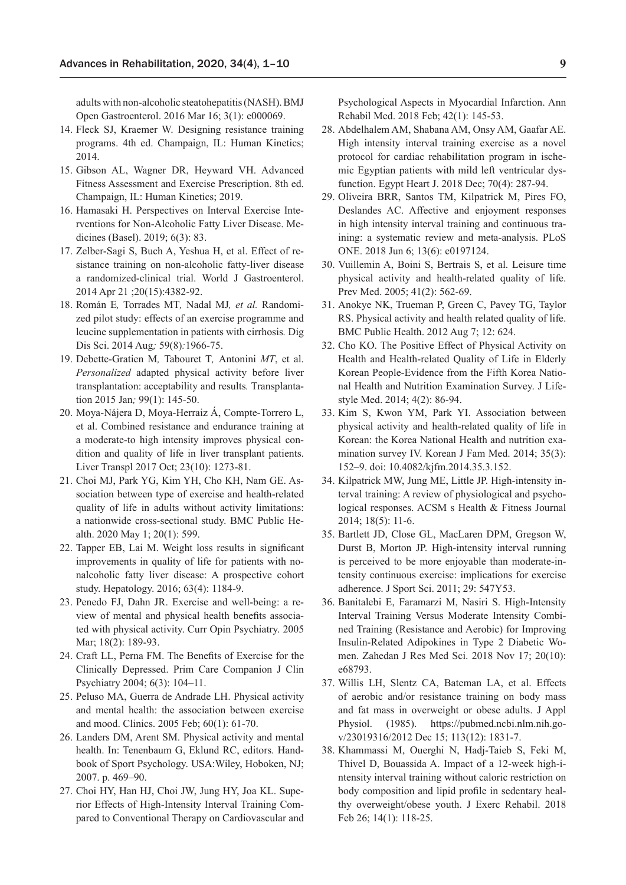adults with non-alcoholic steatohepatitis (NASH). BMJ Open Gastroenterol. 2016 Mar 16; 3(1): e000069.

- 14. Fleck SJ, Kraemer W. Designing resistance training programs. 4th ed. Champaign, IL: Human Kinetics; 2014.
- 15. Gibson AL, Wagner DR, Heyward VH. Advanced Fitness Assessment and Exercise Prescription. 8th ed. Champaign, IL: Human Kinetics; 2019.
- 16. Hamasaki H. Perspectives on Interval Exercise Interventions for Non-Alcoholic Fatty Liver Disease. Medicines (Basel). 2019; 6(3): 83.
- 17. Zelber-Sagi S, Buch A, Yeshua H, et al. Effect of resistance training on non-alcoholic fatty-liver disease a randomized-clinical trial. World J Gastroenterol. 2014 Apr 21 ;20(15):4382-92.
- 18. Román E*,* Torrades MT*,* Nadal MJ*, et al.* Randomized pilot study: effects of an exercise programme and leucine supplementation in patients with cirrhosis*.* Dig Dis Sci. 2014 Aug*;* 59(8)*:*1966*-*75.
- 19. Debette-Gratien M*,* Tabouret T*,* Antonini *MT*, et al. *Personalized* adapted physical activity before liver transplantation: acceptability and results*.* Transplantation 2015 Jan*;* 99(1): 145*-*50.
- 20. Moya-Nájera D, Moya-Herraiz Á, Compte-Torrero L, et al. Combined resistance and endurance training at a moderate-to high intensity improves physical condition and quality of life in liver transplant patients. Liver Transpl 2017 Oct; 23(10): 1273-81.
- 21. Choi MJ, Park YG, Kim YH, Cho KH, Nam GE. Association between type of exercise and health-related quality of life in adults without activity limitations: a nationwide cross-sectional study. BMC Public Health. 2020 May 1; 20(1): 599.
- 22. Tapper EB, Lai M. Weight loss results in significant improvements in quality of life for patients with nonalcoholic fatty liver disease: A prospective cohort study. Hepatology. 2016; 63(4): 1184-9.
- 23. Penedo FJ, Dahn JR. Exercise and well-being: a review of mental and physical health benefits associated with physical activity. Curr Opin Psychiatry. 2005 Mar; 18(2): 189-93.
- 24. Craft LL, Perna FM. The Benefits of Exercise for the Clinically Depressed. Prim Care Companion J Clin Psychiatry 2004; 6(3): 104–11.
- 25. Peluso MA, Guerra de Andrade LH. Physical activity and mental health: the association between exercise and mood. Clinics. 2005 Feb; 60(1): 61-70.
- 26. Landers DM, Arent SM. Physical activity and mental health. In: Tenenbaum G, Eklund RC, editors. Handbook of Sport Psychology. USA:Wiley, Hoboken, NJ; 2007. p. 469–90.
- 27. Choi HY, Han HJ, Choi JW, Jung HY, Joa KL. Superior Effects of High-Intensity Interval Training Compared to Conventional Therapy on Cardiovascular and

Psychological Aspects in Myocardial Infarction. Ann Rehabil Med. 2018 Feb; 42(1): 145-53.

- 28. Abdelhalem AM, Shabana AM, Onsy AM, Gaafar AE. High intensity interval training exercise as a novel protocol for cardiac rehabilitation program in ischemic Egyptian patients with mild left ventricular dysfunction. Egypt Heart J. 2018 Dec; 70(4): 287-94.
- 29. Oliveira BRR, Santos TM, Kilpatrick M, Pires FO, Deslandes AC. Affective and enjoyment responses in high intensity interval training and continuous training: a systematic review and meta-analysis. PLoS ONE. 2018 Jun 6; 13(6): e0197124.
- 30. Vuillemin A, Boini S, Bertrais S, et al. Leisure time physical activity and health-related quality of life. Prev Med. 2005; 41(2): 562-69.
- 31. Anokye NK, Trueman P, Green C, Pavey TG, Taylor RS. Physical activity and health related quality of life. BMC Public Health. 2012 Aug 7; 12: 624.
- 32. Cho KO. The Positive Effect of Physical Activity on Health and Health-related Quality of Life in Elderly Korean People-Evidence from the Fifth Korea National Health and Nutrition Examination Survey. J Lifestyle Med. 2014; 4(2): 86-94.
- 33. Kim S, Kwon YM, Park YI. Association between physical activity and health-related quality of life in Korean: the Korea National Health and nutrition examination survey IV. Korean J Fam Med. 2014; 35(3): 152–9. doi: 10.4082/kjfm.2014.35.3.152.
- 34. Kilpatrick MW, Jung ME, Little JP. High-intensity interval training: A review of physiological and psychological responses. ACSM s Health & Fitness Journal 2014; 18(5): 11-6.
- 35. Bartlett JD, Close GL, MacLaren DPM, Gregson W, Durst B, Morton JP. High-intensity interval running is perceived to be more enjoyable than moderate-intensity continuous exercise: implications for exercise adherence. J Sport Sci. 2011; 29: 547Y53.
- 36. Banitalebi E, Faramarzi M, Nasiri S. High-Intensity Interval Training Versus Moderate Intensity Combined Training (Resistance and Aerobic) for Improving Insulin-Related Adipokines in Type 2 Diabetic Women. Zahedan J Res Med Sci. 2018 Nov 17; 20(10): e68793.
- 37. Willis LH, Slentz CA, Bateman LA, et al. Effects of aerobic and/or resistance training on body mass and fat mass in overweight or obese adults. J Appl Physiol. (1985). https://pubmed.ncbi.nlm.nih.gov/23019316/2012 Dec 15; 113(12): 1831-7.
- 38. Khammassi M, Ouerghi N, Hadj-Taieb S, Feki M, Thivel D, Bouassida A. Impact of a 12-week high-intensity interval training without caloric restriction on body composition and lipid profile in sedentary healthy overweight/obese youth. J Exerc Rehabil. 2018 Feb 26; 14(1): 118-25.